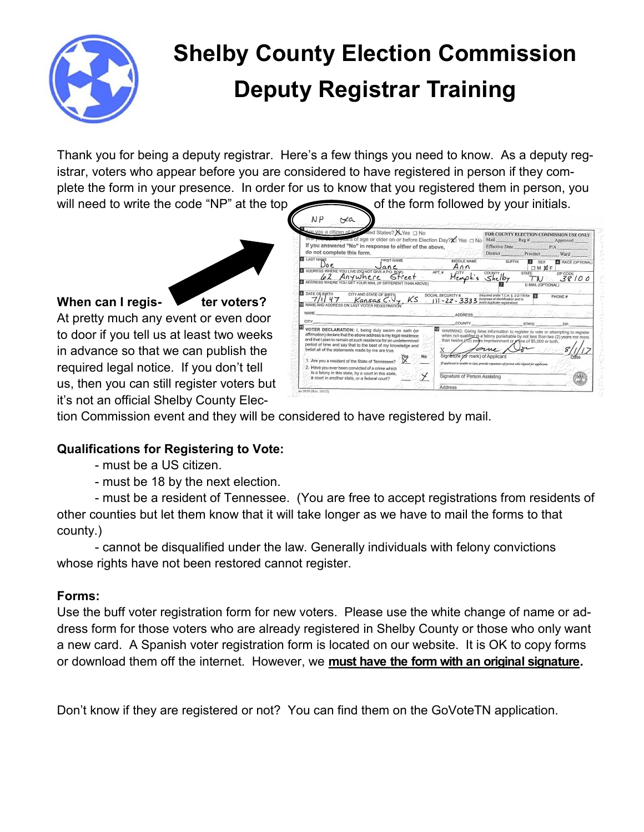

# **Shelby County Election Commission Deputy Registrar Training**

Thank you for being a deputy registrar. Here's a few things you need to know. As a deputy registrar, voters who appear before you are considered to have registered in person if they complete the form in your presence. In order for us to know that you registered them in person, you will need to write the code "NP" at the top of the form followed by your initials.



#### **When can I regis- ter voters?**

At pretty much any event or even door to door if you tell us at least two weeks in advance so that we can publish the required legal notice. If you don't tell us, then you can still register voters but it's not an official Shelby County Elec-

|                                                                | Are you a citizen of the miled States? X Yes [] No<br>Willing you want to yours of age or older on or before Election Day?X) Yes □ No |                                                      | Mail Reg # Approved                               |                             | FOR COUNTY ELECTION COMMISSION USE ONLY |
|----------------------------------------------------------------|---------------------------------------------------------------------------------------------------------------------------------------|------------------------------------------------------|---------------------------------------------------|-----------------------------|-----------------------------------------|
| do not complete this form.                                     | If you answered "No" in response to either of the above,                                                                              |                                                      | Effective Date                                    | P/A<br>District Precinct    | Ward                                    |
| <b>2 LAST NAME</b><br>$\bigcup_{\mathcal{O}}$ e                | <b>FIRST NAME</b><br>Jane                                                                                                             | MIDDLE NAME<br>Ann<br>$3^{2}$ a $-$ and              | <b>SUFFIX</b>                                     | <b>B</b> SEX<br><b>OMNF</b> | RACE (OPTIONAL)                         |
| ADDRESS WHERE YOU LIVE (DO NOT GIVE A P.O. BOX)                | 62 Anywhere Street<br>3 ADDRESS WHERE YOU GET YOUR MAIL (IF DIFFERENT THAN ABOVE)                                                     | APT.#<br><b>CITY</b>                                 | COUNTY,<br>Shelby                                 | <b>STATE</b><br>TW          | ZIP CODE<br>38100                       |
|                                                                |                                                                                                                                       |                                                      | 111 - 22 - 3333 Supposes of identification and to |                             |                                         |
| ID NAME AND ADDRESS ON LAST VOTER REGISTRATION<br>NAME<br>CITY | จ้าน                                                                                                                                  | <u>La ami Appress la pola pola missa all'In</u> 1944 | COUNTY STATE STATE ZIP                            |                             |                                         |

tion Commission event and they will be considered to have registered by mail.

# **Qualifications for Registering to Vote:**

- must be a US citizen.
- must be 18 by the next election.

- must be a resident of Tennessee. (You are free to accept registrations from residents of other counties but let them know that it will take longer as we have to mail the forms to that county.)

- cannot be disqualified under the law. Generally individuals with felony convictions whose rights have not been restored cannot register.

#### **Forms:**

Use the buff voter registration form for new voters. Please use the white change of name or address form for those voters who are already registered in Shelby County or those who only want a new card. A Spanish voter registration form is located on our website. It is OK to copy forms or download them off the internet. However, we **must have the form with an original signature.**

Don't know if they are registered or not? You can find them on the GoVoteTN application.